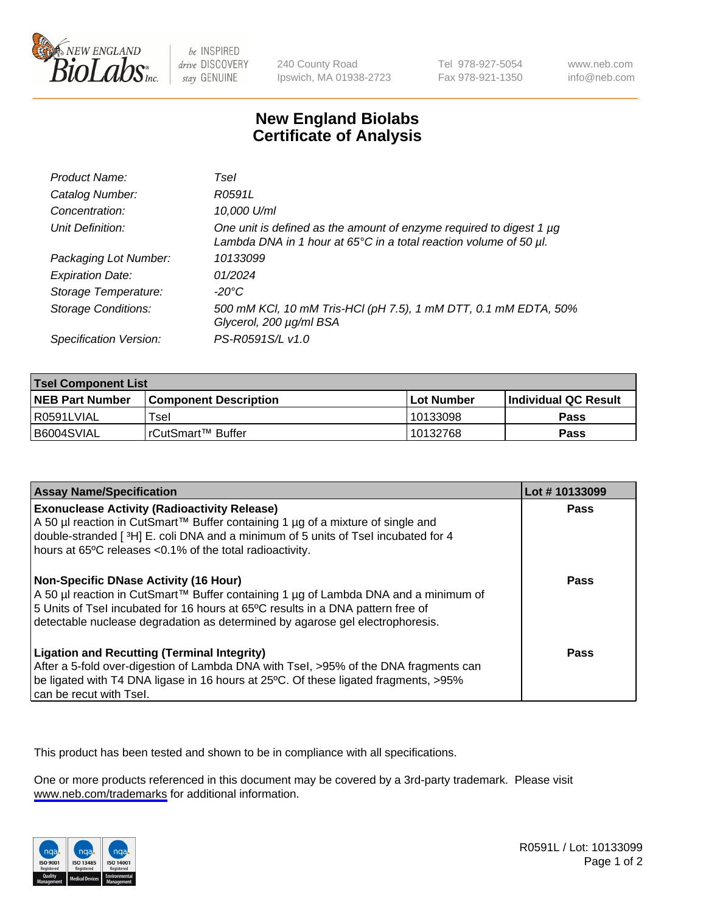

be INSPIRED drive DISCOVERY stay GENUINE

240 County Road Ipswich, MA 01938-2723 Tel 978-927-5054 Fax 978-921-1350

www.neb.com info@neb.com

## **New England Biolabs Certificate of Analysis**

| Product Name:              | Tsel                                                                                                                                                    |
|----------------------------|---------------------------------------------------------------------------------------------------------------------------------------------------------|
| Catalog Number:            | R0591L                                                                                                                                                  |
| Concentration:             | 10,000 U/ml                                                                                                                                             |
| Unit Definition:           | One unit is defined as the amount of enzyme required to digest 1 µg<br>Lambda DNA in 1 hour at $65^{\circ}$ C in a total reaction volume of 50 $\mu$ l. |
| Packaging Lot Number:      | 10133099                                                                                                                                                |
| <b>Expiration Date:</b>    | 01/2024                                                                                                                                                 |
| Storage Temperature:       | -20°C                                                                                                                                                   |
| <b>Storage Conditions:</b> | 500 mM KCl, 10 mM Tris-HCl (pH 7.5), 1 mM DTT, 0.1 mM EDTA, 50%<br>Glycerol, 200 µg/ml BSA                                                              |
| Specification Version:     | PS-R0591S/L v1.0                                                                                                                                        |

| <b>Tsel Component List</b> |                              |            |                             |  |
|----------------------------|------------------------------|------------|-----------------------------|--|
| <b>NEB Part Number</b>     | <b>Component Description</b> | Lot Number | <b>Individual QC Result</b> |  |
| I R0591LVIAL               | $\mathsf{r}_{\mathsf{sel}}$  | 10133098   | Pass                        |  |
| I B6004SVIAL               | l rCutSmart™ Buffer          | 10132768   | Pass                        |  |

| <b>Assay Name/Specification</b>                                                                                                                                                                                                                                                                    | Lot #10133099 |
|----------------------------------------------------------------------------------------------------------------------------------------------------------------------------------------------------------------------------------------------------------------------------------------------------|---------------|
| <b>Exonuclease Activity (Radioactivity Release)</b><br>A 50 µl reaction in CutSmart™ Buffer containing 1 µg of a mixture of single and<br>double-stranded [3H] E. coli DNA and a minimum of 5 units of Tsel incubated for 4<br>hours at 65°C releases <0.1% of the total radioactivity.            | Pass          |
| Non-Specific DNase Activity (16 Hour)<br>  A 50 µl reaction in CutSmart™ Buffer containing 1 µg of Lambda DNA and a minimum of<br>5 Units of Tsel incubated for 16 hours at 65°C results in a DNA pattern free of<br>detectable nuclease degradation as determined by agarose gel electrophoresis. | <b>Pass</b>   |
| <b>Ligation and Recutting (Terminal Integrity)</b><br>After a 5-fold over-digestion of Lambda DNA with Tsel, >95% of the DNA fragments can<br>be ligated with T4 DNA ligase in 16 hours at 25°C. Of these ligated fragments, >95%<br>can be recut with Tsel.                                       | Pass          |

This product has been tested and shown to be in compliance with all specifications.

One or more products referenced in this document may be covered by a 3rd-party trademark. Please visit <www.neb.com/trademarks>for additional information.